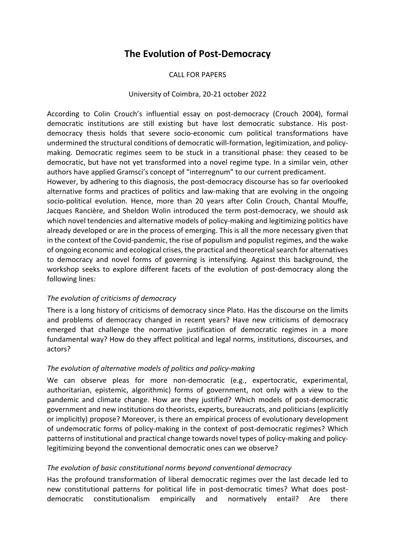# **The Evolution of Post-Democracy**

#### CALL FOR PAPERS

#### University of Coimbra, 20-21 october 2022

According to Colin Crouch's influential essay on post-democracy (Crouch 2004), formal democratic institutions are still existing but have lost democratic substance. His postdemocracy thesis holds that severe socio-economic cum political transformations have undermined the structural conditions of democratic will-formation, legitimization, and policymaking. Democratic regimes seem to be stuck in a transitional phase: they ceased to be democratic, but have not yet transformed into a novel regime type. In a similar vein, other authors have applied Gramsci's concept of "interregnum" to our current predicament.

However, by adhering to this diagnosis, the post-democracy discourse has so far overlooked alternative forms and practices of politics and law-making that are evolving in the ongoing socio-political evolution. Hence, more than 20 years after Colin Crouch, Chantal Mouffe, Jacques Rancière, and Sheldon Wolin introduced the term post-democracy, we should ask which novel tendencies and alternative models of policy-making and legitimizing politics have already developed or are in the process of emerging. This is all the more necessary given that in the context of the Covid-pandemic, the rise of populism and populist regimes, and the wake of ongoing economic and ecological crises, the practical and theoretical search for alternatives to democracy and novel forms of governing is intensifying. Against this background, the workshop seeks to explore different facets of the evolution of post-democracy along the following lines:

#### *The evolution of criticisms of democracy*

There is a long history of criticisms of democracy since Plato. Has the discourse on the limits and problems of democracy changed in recent years? Have new criticisms of democracy emerged that challenge the normative justification of democratic regimes in a more fundamental way? How do they affect political and legal norms, institutions, discourses, and actors?

#### *The evolution of alternative models of politics and policy-making*

We can observe pleas for more non-democratic (e.g., expertocratic, experimental, authoritarian, epistemic, algorithmic) forms of government, not only with a view to the pandemic and climate change. How are they justified? Which models of post-democratic government and new institutions do theorists, experts, bureaucrats, and politicians (explicitly or implicitly) propose? Moreover, is there an empirical process of evolutionary development of undemocratic forms of policy-making in the context of post-democratic regimes? Which patterns of institutional and practical change towards novel types of policy-making and policylegitimizing beyond the conventional democratic ones can we observe?

#### *The evolution of basic constitutional norms beyond conventional democracy*

Has the profound transformation of liberal democratic regimes over the last decade led to new constitutional patterns for political life in post-democratic times? What does postdemocratic constitutionalism empirically and normatively entail? Are there